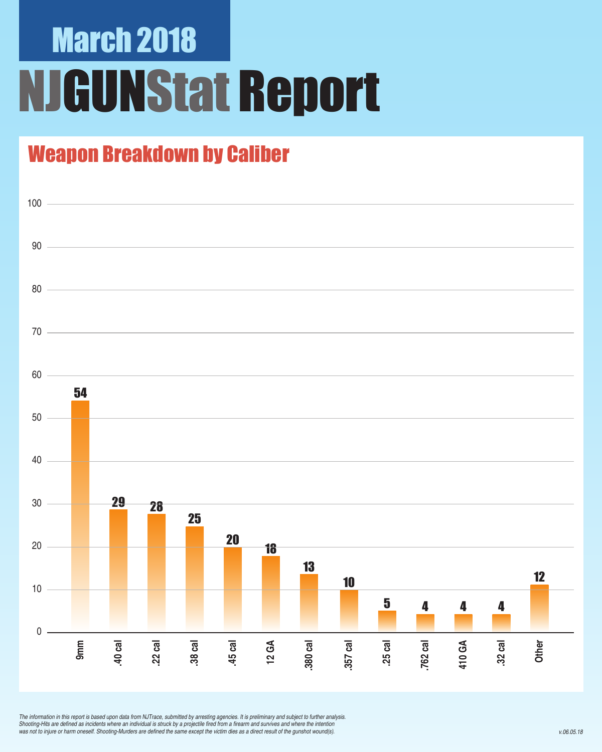# March 2018 NJGUNStat Report

### Weapon Breakdown by Caliber



*The information in this report is based upon data from NJTrace, submitted by arresting agencies. It is preliminary and subject to further analysis.*  Shooting-Hits are defined as incidents where an individual is struck by a projectile fired from a firearm and survives and where the intention was not to injure or harm oneself. Shooting-Murders are defined the same except the victim dies as a direct result of the gunshot wound(s).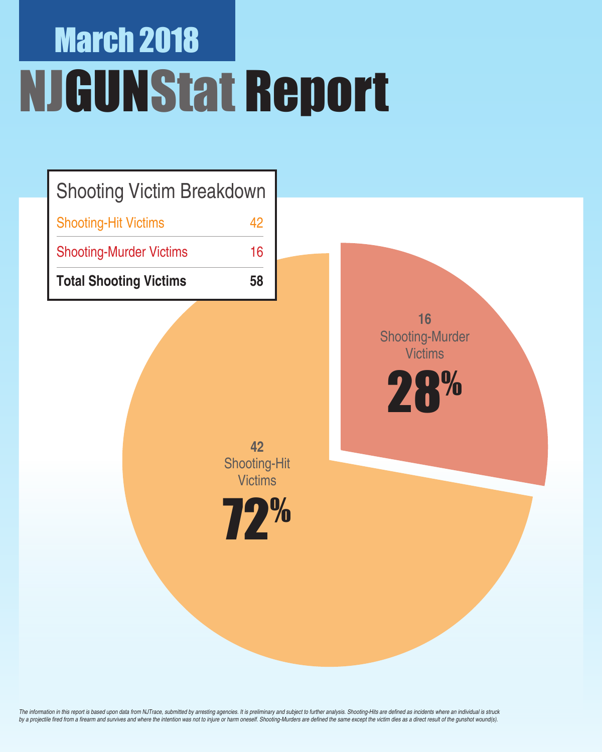# March 2018 NJGUNStat Report

| <b>Shooting Victim Breakdown</b> |    |
|----------------------------------|----|
| <b>Shooting-Hit Victims</b>      | 42 |
| <b>Shooting-Murder Victims</b>   | 16 |
| <b>Total Shooting Victims</b>    | 58 |

**42**  Shooting-Hit **Victims** 

**16** Shooting-Murder **Victims** 

28%



The information in this report is based upon data from NJTrace, submitted by arresting agencies. It is preliminary and subject to further analysis. Shooting-Hits are defined as incidents where an individual is struck by a projectile fired from a firearm and survives and where the intention was not to injure or harm oneself. Shooting-Murders are defined the same except the victim dies as a direct result of the gunshot wound(s).